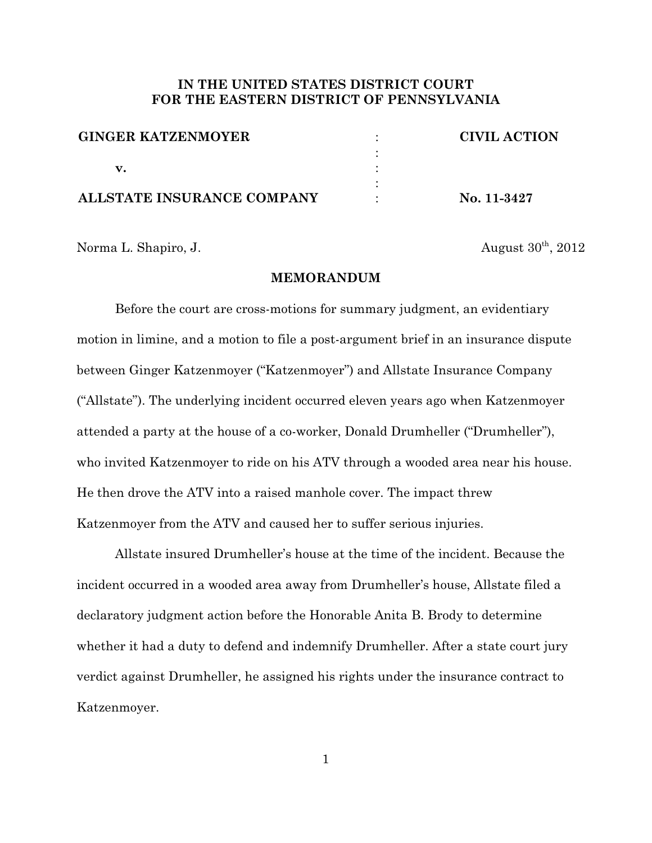## **IN THE UNITED STATES DISTRICT COURT FOR THE EASTERN DISTRICT OF PENNSYLVANIA**

| <b>GINGER KATZENMOYER</b>  | <b>CIVIL ACTION</b> |
|----------------------------|---------------------|
|                            |                     |
| v.                         |                     |
|                            |                     |
| ALLSTATE INSURANCE COMPANY | No. 11-3427         |

Norma L. Shapiro, J.  $\Delta u = 30^{th}$ , 2012

### **MEMORANDUM**

Before the court are cross-motions for summary judgment, an evidentiary motion in limine, and a motion to file a post-argument brief in an insurance dispute between Ginger Katzenmoyer ("Katzenmoyer") and Allstate Insurance Company ("Allstate"). The underlying incident occurred eleven years ago when Katzenmoyer attended a party at the house of a co-worker, Donald Drumheller ("Drumheller"), who invited Katzenmoyer to ride on his ATV through a wooded area near his house. He then drove the ATV into a raised manhole cover. The impact threw Katzenmoyer from the ATV and caused her to suffer serious injuries.

Allstate insured Drumheller's house at the time of the incident. Because the incident occurred in a wooded area away from Drumheller's house, Allstate filed a declaratory judgment action before the Honorable Anita B. Brody to determine whether it had a duty to defend and indemnify Drumheller. After a state court jury verdict against Drumheller, he assigned his rights under the insurance contract to Katzenmoyer.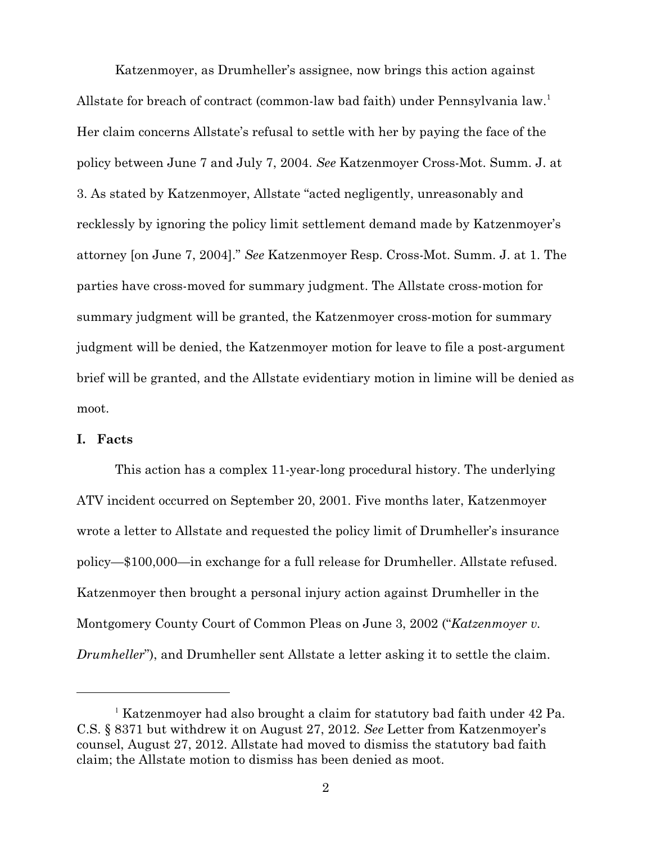Katzenmoyer, as Drumheller's assignee, now brings this action against Allstate for breach of contract (common-law bad faith) under Pennsylvania law.<sup>1</sup> Her claim concerns Allstate's refusal to settle with her by paying the face of the policy between June 7 and July 7, 2004. *See* Katzenmoyer Cross-Mot. Summ. J. at 3. As stated by Katzenmoyer, Allstate "acted negligently, unreasonably and recklessly by ignoring the policy limit settlement demand made by Katzenmoyer's attorney [on June 7, 2004]." *See* Katzenmoyer Resp. Cross-Mot. Summ. J. at 1. The parties have cross-moved for summary judgment. The Allstate cross-motion for summary judgment will be granted, the Katzenmoyer cross-motion for summary judgment will be denied, the Katzenmoyer motion for leave to file a post-argument brief will be granted, and the Allstate evidentiary motion in limine will be denied as moot.

## **I. Facts**

This action has a complex 11-year-long procedural history. The underlying ATV incident occurred on September 20, 2001. Five months later, Katzenmoyer wrote a letter to Allstate and requested the policy limit of Drumheller's insurance policy—\$100,000—in exchange for a full release for Drumheller. Allstate refused. Katzenmoyer then brought a personal injury action against Drumheller in the Montgomery County Court of Common Pleas on June 3, 2002 ("*Katzenmoyer v. Drumheller*"), and Drumheller sent Allstate a letter asking it to settle the claim.

 $^1$  Katzenmover had also brought a claim for statutory bad faith under 42 Pa. C.S. § 8371 but withdrew it on August 27, 2012. *See* Letter from Katzenmoyer's counsel, August 27, 2012. Allstate had moved to dismiss the statutory bad faith claim; the Allstate motion to dismiss has been denied as moot.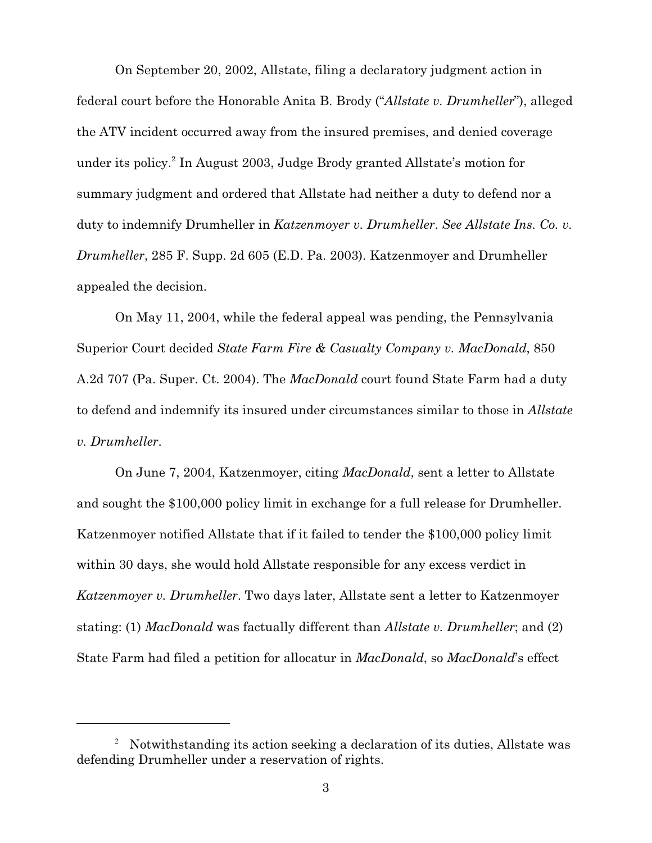On September 20, 2002, Allstate, filing a declaratory judgment action in federal court before the Honorable Anita B. Brody ("*Allstate v. Drumheller*"), alleged the ATV incident occurred away from the insured premises, and denied coverage under its policy.<sup>2</sup> In August 2003, Judge Brody granted Allstate's motion for summary judgment and ordered that Allstate had neither a duty to defend nor a duty to indemnify Drumheller in *Katzenmoyer v. Drumheller*. *See Allstate Ins. Co. v. Drumheller*, 285 F. Supp. 2d 605 (E.D. Pa. 2003). Katzenmoyer and Drumheller appealed the decision.

On May 11, 2004, while the federal appeal was pending, the Pennsylvania Superior Court decided *State Farm Fire & Casualty Company v. MacDonald*, 850 A.2d 707 (Pa. Super. Ct. 2004). The *MacDonald* court found State Farm had a duty to defend and indemnify its insured under circumstances similar to those in *Allstate v. Drumheller*.

On June 7, 2004, Katzenmoyer, citing *MacDonald*, sent a letter to Allstate and sought the \$100,000 policy limit in exchange for a full release for Drumheller. Katzenmoyer notified Allstate that if it failed to tender the \$100,000 policy limit within 30 days, she would hold Allstate responsible for any excess verdict in *Katzenmoyer v. Drumheller*. Two days later, Allstate sent a letter to Katzenmoyer stating: (1) *MacDonald* was factually different than *Allstate v. Drumheller*; and (2) State Farm had filed a petition for allocatur in *MacDonald*, so *MacDonald*'s effect

<sup>&</sup>lt;sup>2</sup> Notwithstanding its action seeking a declaration of its duties. All state was defending Drumheller under a reservation of rights.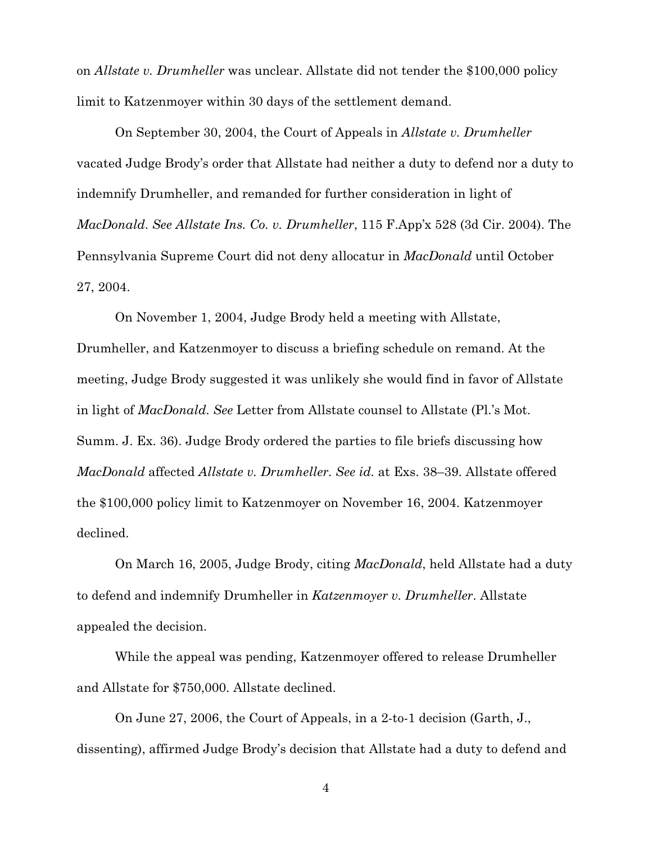on *Allstate v. Drumheller* was unclear. Allstate did not tender the \$100,000 policy limit to Katzenmoyer within 30 days of the settlement demand.

On September 30, 2004, the Court of Appeals in *Allstate v. Drumheller* vacated Judge Brody's order that Allstate had neither a duty to defend nor a duty to indemnify Drumheller, and remanded for further consideration in light of *MacDonald*. *See Allstate Ins. Co. v. Drumheller*, 115 F.App'x 528 (3d Cir. 2004). The Pennsylvania Supreme Court did not deny allocatur in *MacDonald* until October 27, 2004.

On November 1, 2004, Judge Brody held a meeting with Allstate, Drumheller, and Katzenmoyer to discuss a briefing schedule on remand. At the meeting, Judge Brody suggested it was unlikely she would find in favor of Allstate in light of *MacDonald*. *See* Letter from Allstate counsel to Allstate (Pl.'s Mot. Summ. J. Ex. 36). Judge Brody ordered the parties to file briefs discussing how *MacDonald* affected *Allstate v. Drumheller*. *See id.* at Exs. 38–39. Allstate offered the \$100,000 policy limit to Katzenmoyer on November 16, 2004. Katzenmoyer declined.

On March 16, 2005, Judge Brody, citing *MacDonald*, held Allstate had a duty to defend and indemnify Drumheller in *Katzenmoyer v. Drumheller*. Allstate appealed the decision.

While the appeal was pending, Katzenmoyer offered to release Drumheller and Allstate for \$750,000. Allstate declined.

On June 27, 2006, the Court of Appeals, in a 2-to-1 decision (Garth, J., dissenting), affirmed Judge Brody's decision that Allstate had a duty to defend and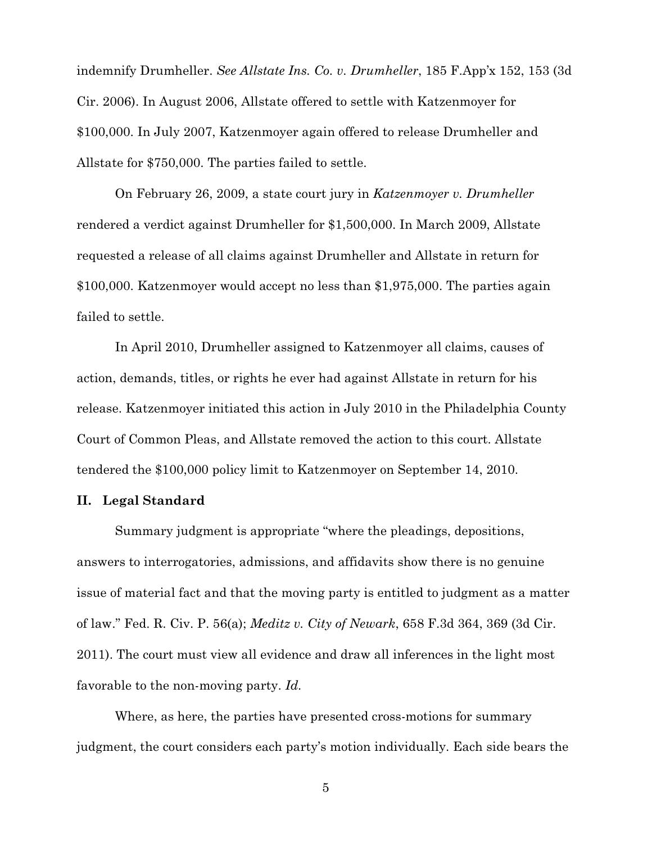indemnify Drumheller. *See Allstate Ins. Co. v. Drumheller*, 185 F.App'x 152, 153 (3d Cir. 2006). In August 2006, Allstate offered to settle with Katzenmoyer for \$100,000. In July 2007, Katzenmoyer again offered to release Drumheller and Allstate for \$750,000. The parties failed to settle.

On February 26, 2009, a state court jury in *Katzenmoyer v. Drumheller* rendered a verdict against Drumheller for \$1,500,000. In March 2009, Allstate requested a release of all claims against Drumheller and Allstate in return for \$100,000. Katzenmoyer would accept no less than \$1,975,000. The parties again failed to settle.

In April 2010, Drumheller assigned to Katzenmoyer all claims, causes of action, demands, titles, or rights he ever had against Allstate in return for his release. Katzenmoyer initiated this action in July 2010 in the Philadelphia County Court of Common Pleas, and Allstate removed the action to this court. Allstate tendered the \$100,000 policy limit to Katzenmoyer on September 14, 2010.

## **II. Legal Standard**

Summary judgment is appropriate "where the pleadings, depositions, answers to interrogatories, admissions, and affidavits show there is no genuine issue of material fact and that the moving party is entitled to judgment as a matter of law." Fed. R. Civ. P. 56(a); *Meditz v. City of Newark*, 658 F.3d 364, 369 (3d Cir. 2011). The court must view all evidence and draw all inferences in the light most favorable to the non-moving party. *Id.*

Where, as here, the parties have presented cross-motions for summary judgment, the court considers each party's motion individually. Each side bears the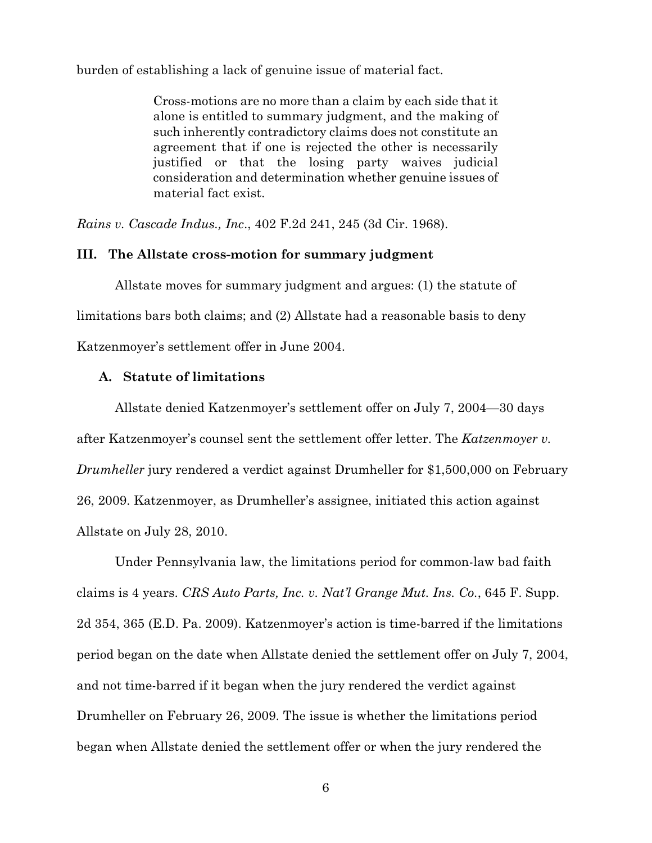burden of establishing a lack of genuine issue of material fact.

Cross-motions are no more than a claim by each side that it alone is entitled to summary judgment, and the making of such inherently contradictory claims does not constitute an agreement that if one is rejected the other is necessarily justified or that the losing party waives judicial consideration and determination whether genuine issues of material fact exist.

*Rains v. Cascade Indus., Inc*., 402 F.2d 241, 245 (3d Cir. 1968).

## **III. The Allstate cross-motion for summary judgment**

Allstate moves for summary judgment and argues: (1) the statute of limitations bars both claims; and (2) Allstate had a reasonable basis to deny Katzenmoyer's settlement offer in June 2004.

## **A. Statute of limitations**

Allstate denied Katzenmoyer's settlement offer on July 7, 2004—30 days after Katzenmoyer's counsel sent the settlement offer letter. The *Katzenmoyer v. Drumheller* jury rendered a verdict against Drumheller for \$1,500,000 on February 26, 2009. Katzenmoyer, as Drumheller's assignee, initiated this action against Allstate on July 28, 2010.

Under Pennsylvania law, the limitations period for common-law bad faith claims is 4 years. *CRS Auto Parts, Inc. v. Nat'l Grange Mut. Ins. Co.*, 645 F. Supp. 2d 354, 365 (E.D. Pa. 2009). Katzenmoyer's action is time-barred if the limitations period began on the date when Allstate denied the settlement offer on July 7, 2004, and not time-barred if it began when the jury rendered the verdict against Drumheller on February 26, 2009. The issue is whether the limitations period began when Allstate denied the settlement offer or when the jury rendered the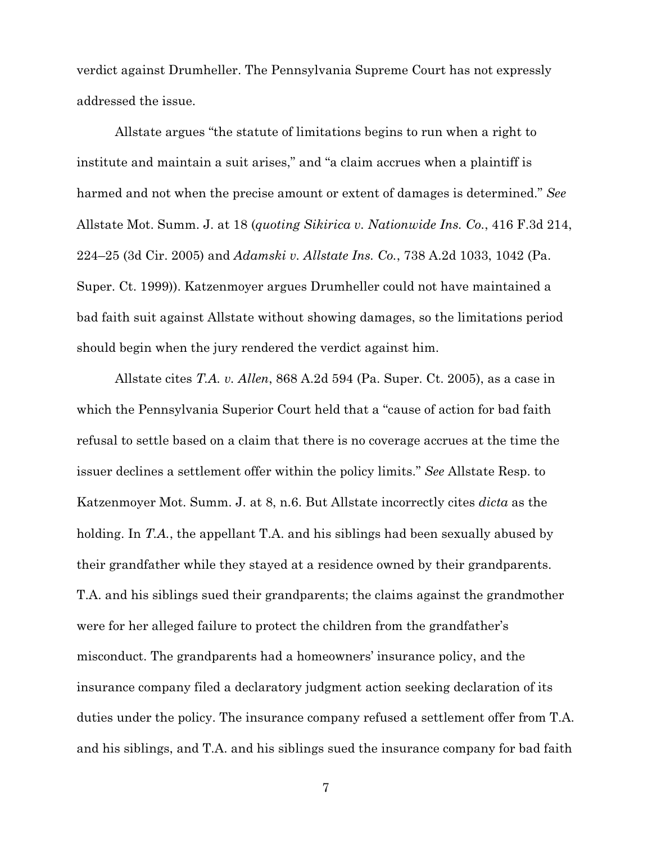verdict against Drumheller. The Pennsylvania Supreme Court has not expressly addressed the issue.

Allstate argues "the statute of limitations begins to run when a right to institute and maintain a suit arises," and "a claim accrues when a plaintiff is harmed and not when the precise amount or extent of damages is determined." *See* Allstate Mot. Summ. J. at 18 (*quoting Sikirica v. Nationwide Ins. Co.*, 416 F.3d 214, 224–25 (3d Cir. 2005) and *Adamski v. Allstate Ins. Co.*, 738 A.2d 1033, 1042 (Pa. Super. Ct. 1999)). Katzenmoyer argues Drumheller could not have maintained a bad faith suit against Allstate without showing damages, so the limitations period should begin when the jury rendered the verdict against him.

Allstate cites *T.A. v. Allen*, 868 A.2d 594 (Pa. Super. Ct. 2005), as a case in which the Pennsylvania Superior Court held that a "cause of action for bad faith refusal to settle based on a claim that there is no coverage accrues at the time the issuer declines a settlement offer within the policy limits." *See* Allstate Resp. to Katzenmoyer Mot. Summ. J. at 8, n.6. But Allstate incorrectly cites *dicta* as the holding. In *T.A.*, the appellant T.A. and his siblings had been sexually abused by their grandfather while they stayed at a residence owned by their grandparents. T.A. and his siblings sued their grandparents; the claims against the grandmother were for her alleged failure to protect the children from the grandfather's misconduct. The grandparents had a homeowners' insurance policy, and the insurance company filed a declaratory judgment action seeking declaration of its duties under the policy. The insurance company refused a settlement offer from T.A. and his siblings, and T.A. and his siblings sued the insurance company for bad faith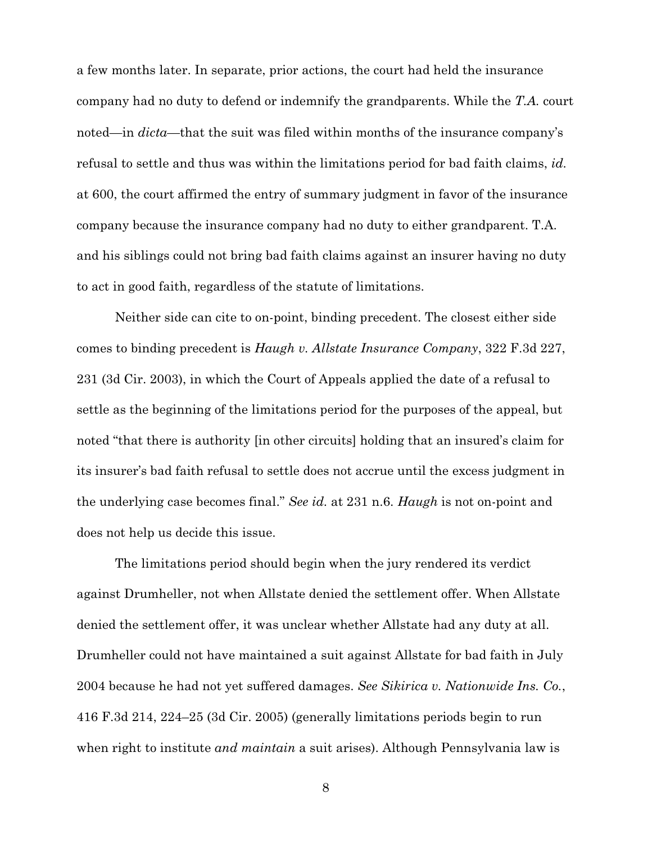a few months later. In separate, prior actions, the court had held the insurance company had no duty to defend or indemnify the grandparents. While the *T.A.* court noted—in *dicta—*that the suit was filed within months of the insurance company's refusal to settle and thus was within the limitations period for bad faith claims, *id.* at 600, the court affirmed the entry of summary judgment in favor of the insurance company because the insurance company had no duty to either grandparent. T.A. and his siblings could not bring bad faith claims against an insurer having no duty to act in good faith, regardless of the statute of limitations.

Neither side can cite to on-point, binding precedent. The closest either side comes to binding precedent is *Haugh v. Allstate Insurance Company*, 322 F.3d 227, 231 (3d Cir. 2003), in which the Court of Appeals applied the date of a refusal to settle as the beginning of the limitations period for the purposes of the appeal, but noted "that there is authority [in other circuits] holding that an insured's claim for its insurer's bad faith refusal to settle does not accrue until the excess judgment in the underlying case becomes final." *See id.* at 231 n.6. *Haugh* is not on-point and does not help us decide this issue.

The limitations period should begin when the jury rendered its verdict against Drumheller, not when Allstate denied the settlement offer. When Allstate denied the settlement offer, it was unclear whether Allstate had any duty at all. Drumheller could not have maintained a suit against Allstate for bad faith in July 2004 because he had not yet suffered damages. *See Sikirica v. Nationwide Ins. Co.*, 416 F.3d 214, 224–25 (3d Cir. 2005) (generally limitations periods begin to run when right to institute *and maintain* a suit arises). Although Pennsylvania law is

<sup>8</sup>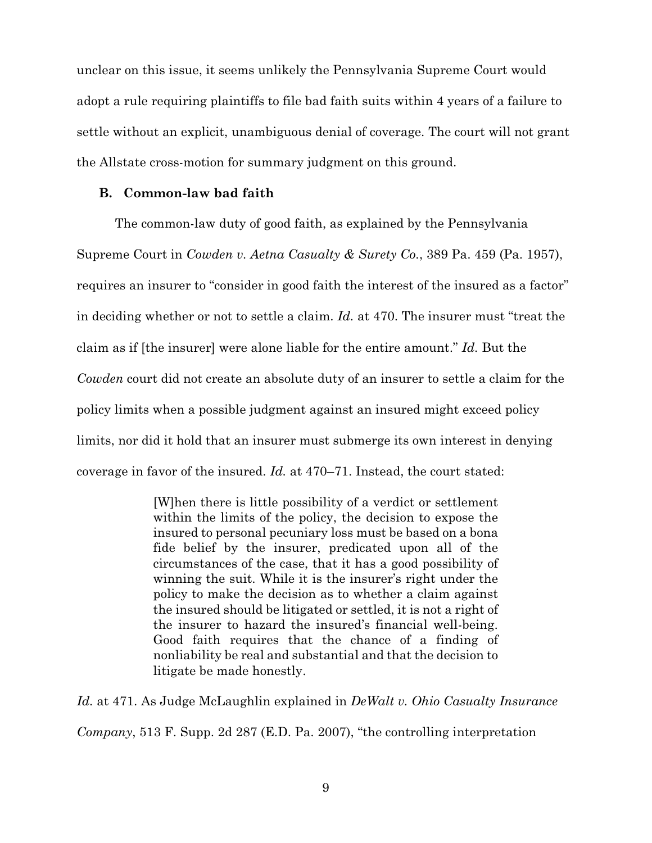unclear on this issue, it seems unlikely the Pennsylvania Supreme Court would adopt a rule requiring plaintiffs to file bad faith suits within 4 years of a failure to settle without an explicit, unambiguous denial of coverage. The court will not grant the Allstate cross-motion for summary judgment on this ground.

## **B. Common-law bad faith**

The common-law duty of good faith, as explained by the Pennsylvania Supreme Court in *Cowden v. Aetna Casualty & Surety Co.*, 389 Pa. 459 (Pa. 1957), requires an insurer to "consider in good faith the interest of the insured as a factor" in deciding whether or not to settle a claim. *Id.* at 470. The insurer must "treat the claim as if [the insurer] were alone liable for the entire amount." *Id.* But the *Cowden* court did not create an absolute duty of an insurer to settle a claim for the policy limits when a possible judgment against an insured might exceed policy limits, nor did it hold that an insurer must submerge its own interest in denying coverage in favor of the insured. *Id.* at 470–71. Instead, the court stated:

> [W]hen there is little possibility of a verdict or settlement within the limits of the policy, the decision to expose the insured to personal pecuniary loss must be based on a bona fide belief by the insurer, predicated upon all of the circumstances of the case, that it has a good possibility of winning the suit. While it is the insurer's right under the policy to make the decision as to whether a claim against the insured should be litigated or settled, it is not a right of the insurer to hazard the insured's financial well-being. Good faith requires that the chance of a finding of nonliability be real and substantial and that the decision to litigate be made honestly.

*Id.* at 471. As Judge McLaughlin explained in *DeWalt v. Ohio Casualty Insurance Company*, 513 F. Supp. 2d 287 (E.D. Pa. 2007), "the controlling interpretation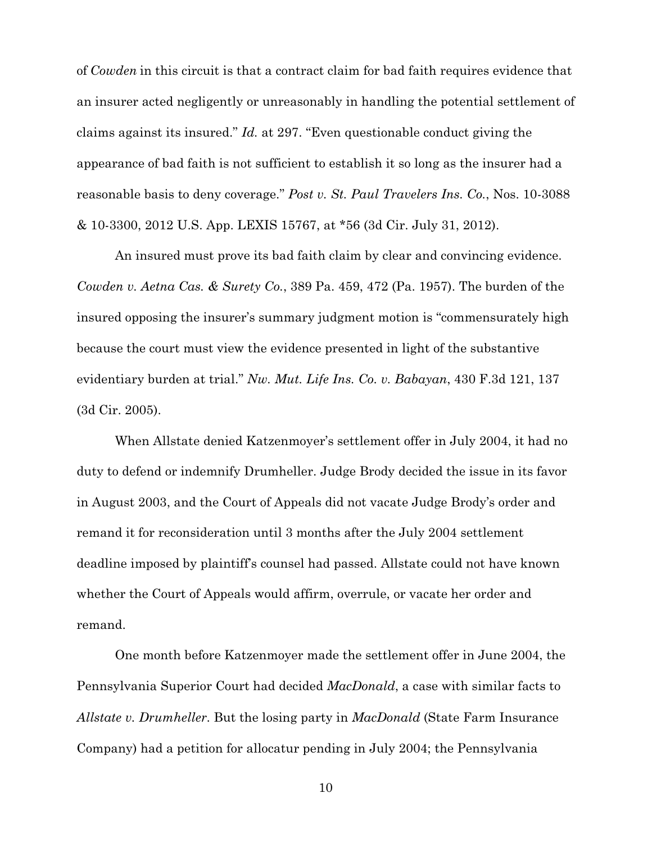of *Cowden* in this circuit is that a contract claim for bad faith requires evidence that an insurer acted negligently or unreasonably in handling the potential settlement of claims against its insured." *Id.* at 297. "Even questionable conduct giving the appearance of bad faith is not sufficient to establish it so long as the insurer had a reasonable basis to deny coverage." *Post v. St. Paul Travelers Ins. Co.*, Nos. 10-3088 & 10-3300, 2012 U.S. App. LEXIS 15767, at \*56 (3d Cir. July 31, 2012).

An insured must prove its bad faith claim by clear and convincing evidence. *Cowden v. Aetna Cas. & Surety Co.*, 389 Pa. 459, 472 (Pa. 1957). The burden of the insured opposing the insurer's summary judgment motion is "commensurately high because the court must view the evidence presented in light of the substantive evidentiary burden at trial." *Nw. Mut. Life Ins. Co. v. Babayan*, 430 F.3d 121, 137 (3d Cir. 2005).

When Allstate denied Katzenmoyer's settlement offer in July 2004, it had no duty to defend or indemnify Drumheller. Judge Brody decided the issue in its favor in August 2003, and the Court of Appeals did not vacate Judge Brody's order and remand it for reconsideration until 3 months after the July 2004 settlement deadline imposed by plaintiff's counsel had passed. Allstate could not have known whether the Court of Appeals would affirm, overrule, or vacate her order and remand.

One month before Katzenmoyer made the settlement offer in June 2004, the Pennsylvania Superior Court had decided *MacDonald*, a case with similar facts to *Allstate v. Drumheller*. But the losing party in *MacDonald* (State Farm Insurance Company) had a petition for allocatur pending in July 2004; the Pennsylvania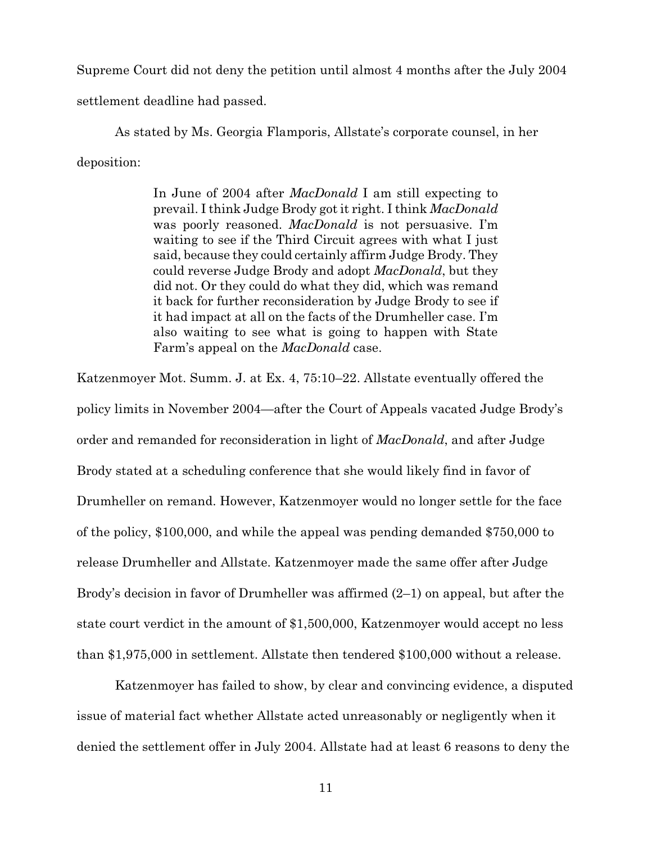Supreme Court did not deny the petition until almost 4 months after the July 2004 settlement deadline had passed.

As stated by Ms. Georgia Flamporis, Allstate's corporate counsel, in her deposition:

> In June of 2004 after *MacDonald* I am still expecting to prevail. I think Judge Brody got it right. I think *MacDonald* was poorly reasoned. *MacDonald* is not persuasive. I'm waiting to see if the Third Circuit agrees with what I just said, because they could certainly affirm Judge Brody. They could reverse Judge Brody and adopt *MacDonald*, but they did not. Or they could do what they did, which was remand it back for further reconsideration by Judge Brody to see if it had impact at all on the facts of the Drumheller case. I'm also waiting to see what is going to happen with State Farm's appeal on the *MacDonald* case.

Katzenmoyer Mot. Summ. J. at Ex. 4, 75:10–22. Allstate eventually offered the policy limits in November 2004—after the Court of Appeals vacated Judge Brody's order and remanded for reconsideration in light of *MacDonald*, and after Judge Brody stated at a scheduling conference that she would likely find in favor of Drumheller on remand. However, Katzenmoyer would no longer settle for the face of the policy, \$100,000, and while the appeal was pending demanded \$750,000 to release Drumheller and Allstate. Katzenmoyer made the same offer after Judge Brody's decision in favor of Drumheller was affirmed (2–1) on appeal, but after the state court verdict in the amount of \$1,500,000, Katzenmoyer would accept no less than \$1,975,000 in settlement. Allstate then tendered \$100,000 without a release.

Katzenmoyer has failed to show, by clear and convincing evidence, a disputed issue of material fact whether Allstate acted unreasonably or negligently when it denied the settlement offer in July 2004. Allstate had at least 6 reasons to deny the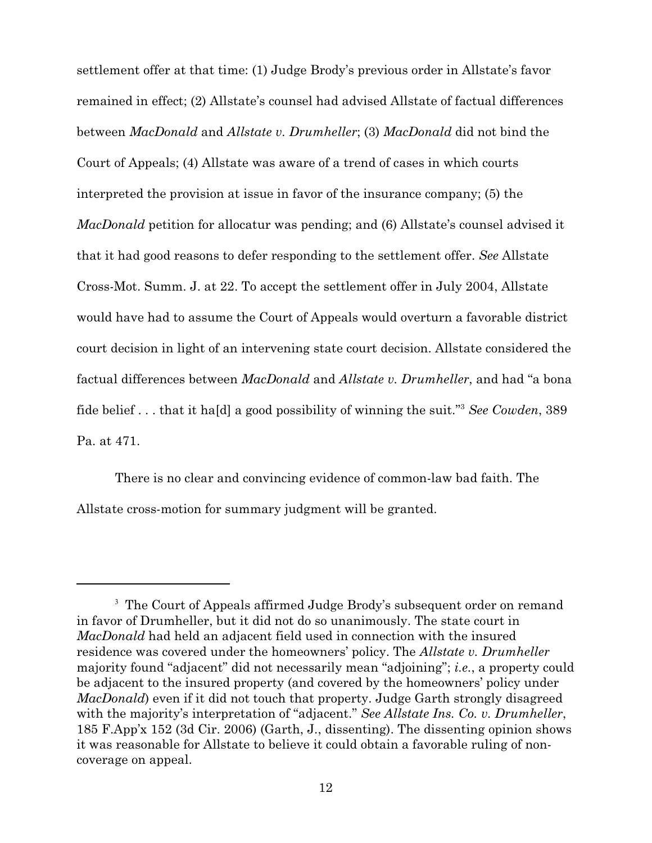settlement offer at that time: (1) Judge Brody's previous order in Allstate's favor remained in effect; (2) Allstate's counsel had advised Allstate of factual differences between *MacDonald* and *Allstate v. Drumheller*; (3) *MacDonald* did not bind the Court of Appeals; (4) Allstate was aware of a trend of cases in which courts interpreted the provision at issue in favor of the insurance company; (5) the *MacDonald* petition for allocatur was pending; and (6) Allstate's counsel advised it that it had good reasons to defer responding to the settlement offer. *See* Allstate Cross-Mot. Summ. J. at 22. To accept the settlement offer in July 2004, Allstate would have had to assume the Court of Appeals would overturn a favorable district court decision in light of an intervening state court decision. Allstate considered the factual differences between *MacDonald* and *Allstate v. Drumheller*, and had "a bona fide belief . . . that it ha[d] a good possibility of winning the suit."<sup>3</sup> See Cowden, 389 Pa. at 471.

There is no clear and convincing evidence of common-law bad faith. The Allstate cross-motion for summary judgment will be granted.

<sup>&</sup>lt;sup>3</sup> The Court of Appeals affirmed Judge Brody's subsequent order on remand in favor of Drumheller, but it did not do so unanimously. The state court in *MacDonald* had held an adjacent field used in connection with the insured residence was covered under the homeowners' policy. The *Allstate v. Drumheller* majority found "adjacent" did not necessarily mean "adjoining"; *i.e.*, a property could be adjacent to the insured property (and covered by the homeowners' policy under *MacDonald*) even if it did not touch that property. Judge Garth strongly disagreed with the majority's interpretation of "adjacent." *See Allstate Ins. Co. v. Drumheller*, 185 F.App'x 152 (3d Cir. 2006) (Garth, J., dissenting). The dissenting opinion shows it was reasonable for Allstate to believe it could obtain a favorable ruling of noncoverage on appeal.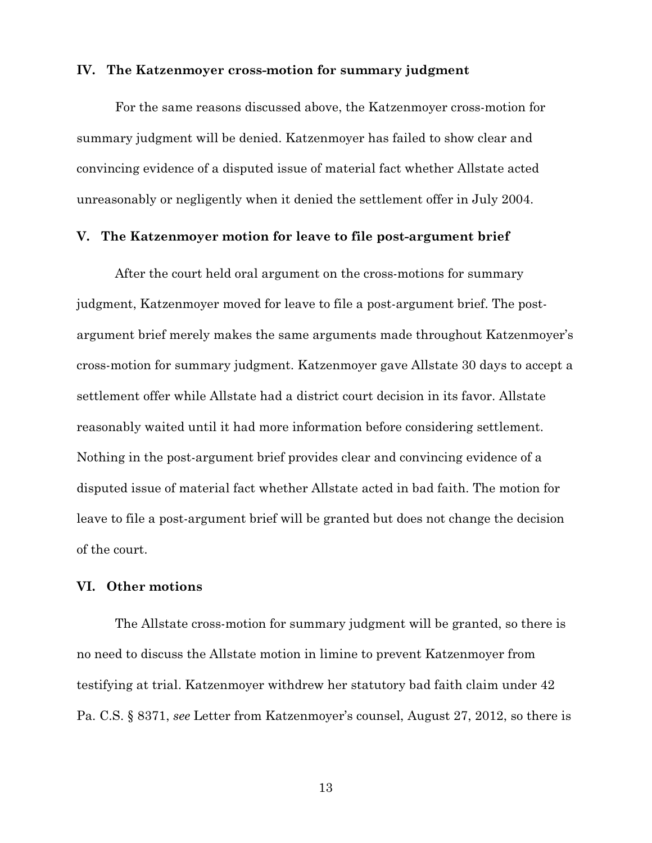#### **IV. The Katzenmoyer cross-motion for summary judgment**

For the same reasons discussed above, the Katzenmoyer cross-motion for summary judgment will be denied. Katzenmoyer has failed to show clear and convincing evidence of a disputed issue of material fact whether Allstate acted unreasonably or negligently when it denied the settlement offer in July 2004.

### **V. The Katzenmoyer motion for leave to file post-argument brief**

After the court held oral argument on the cross-motions for summary judgment, Katzenmoyer moved for leave to file a post-argument brief. The postargument brief merely makes the same arguments made throughout Katzenmoyer's cross-motion for summary judgment. Katzenmoyer gave Allstate 30 days to accept a settlement offer while Allstate had a district court decision in its favor. Allstate reasonably waited until it had more information before considering settlement. Nothing in the post-argument brief provides clear and convincing evidence of a disputed issue of material fact whether Allstate acted in bad faith. The motion for leave to file a post-argument brief will be granted but does not change the decision of the court.

## **VI. Other motions**

The Allstate cross-motion for summary judgment will be granted, so there is no need to discuss the Allstate motion in limine to prevent Katzenmoyer from testifying at trial. Katzenmoyer withdrew her statutory bad faith claim under 42 Pa. C.S. § 8371, *see* Letter from Katzenmoyer's counsel, August 27, 2012, so there is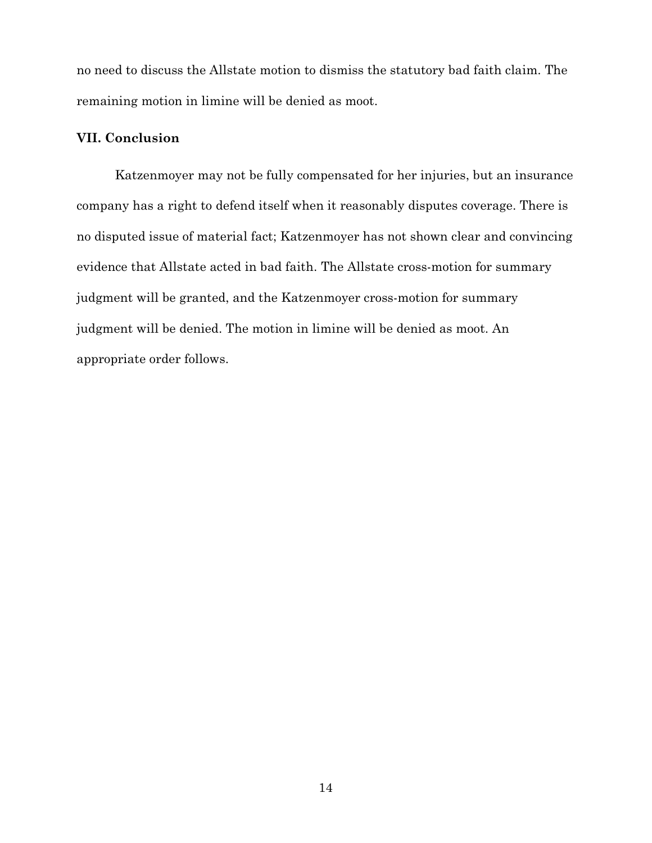no need to discuss the Allstate motion to dismiss the statutory bad faith claim. The remaining motion in limine will be denied as moot.

# **VII. Conclusion**

Katzenmoyer may not be fully compensated for her injuries, but an insurance company has a right to defend itself when it reasonably disputes coverage. There is no disputed issue of material fact; Katzenmoyer has not shown clear and convincing evidence that Allstate acted in bad faith. The Allstate cross-motion for summary judgment will be granted, and the Katzenmoyer cross-motion for summary judgment will be denied. The motion in limine will be denied as moot. An appropriate order follows.